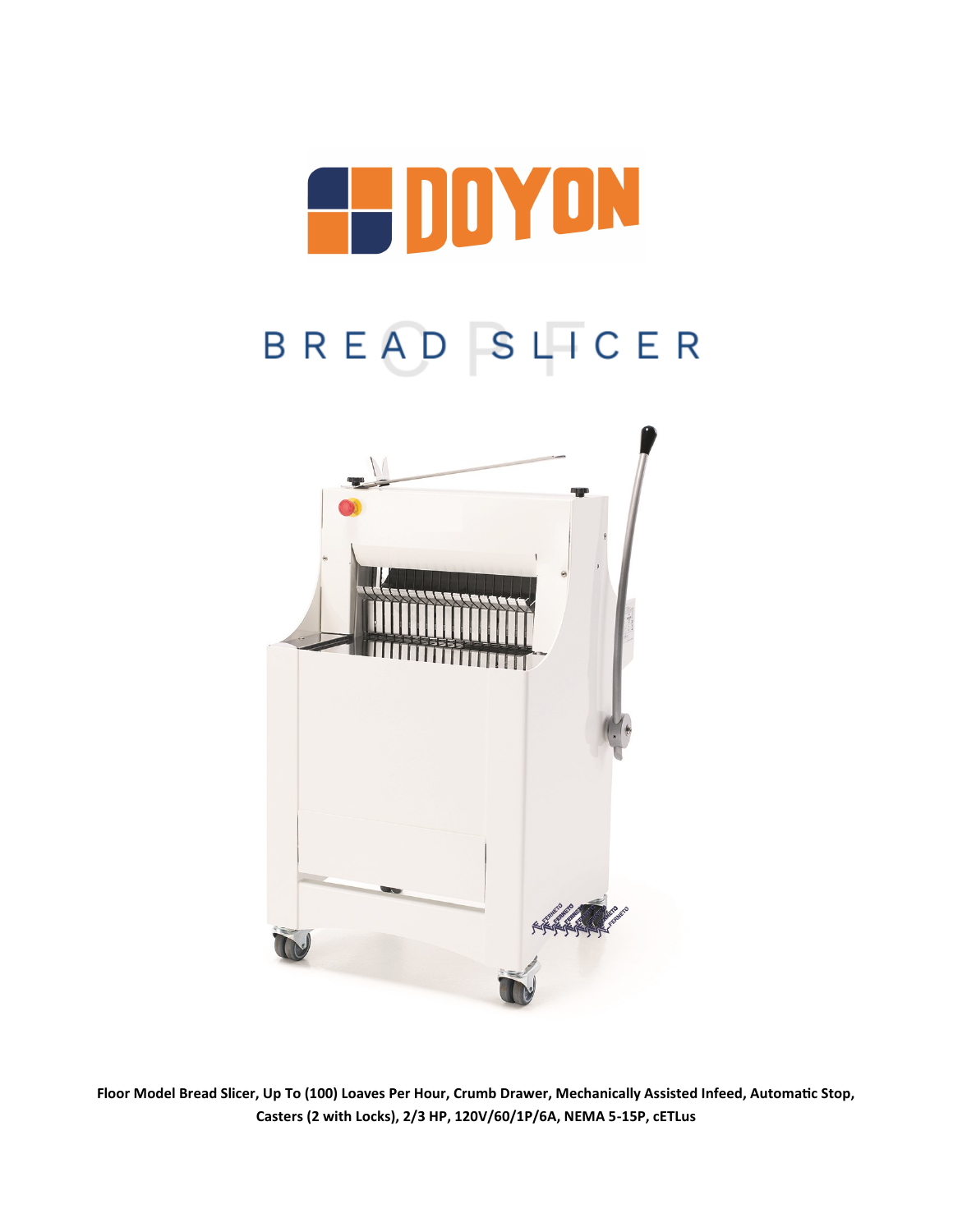

# BREAD SLICER



**Floor Model Bread Slicer, Up To (100) Loaves Per Hour, Crumb Drawer, Mechanically Assisted Infeed, Automatic Stop, Casters (2 with Locks), 2/3 HP, 120V/60/1P/6A, NEMA 5-15P, cETLus**